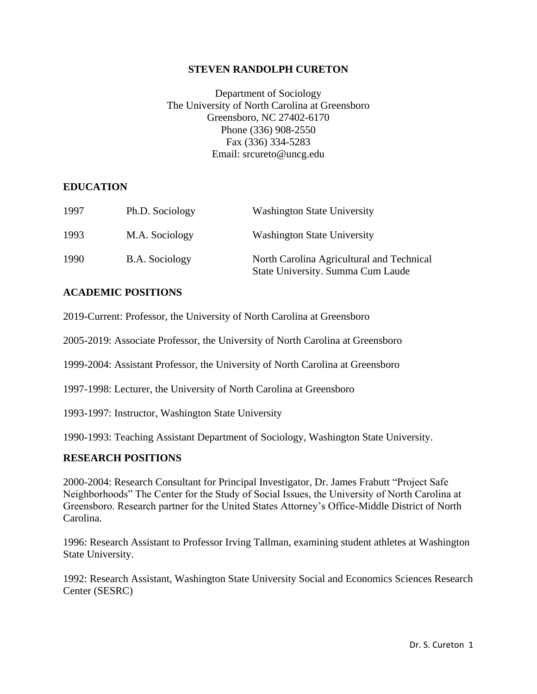### **STEVEN RANDOLPH CURETON**

Department of Sociology The University of North Carolina at Greensboro Greensboro, NC 27402-6170 Phone (336) 908-2550 Fax (336) 334-5283 Email: srcureto@uncg.edu

#### **EDUCATION**

| 1997 | Ph.D. Sociology | <b>Washington State University</b>                                             |
|------|-----------------|--------------------------------------------------------------------------------|
| 1993 | M.A. Sociology  | <b>Washington State University</b>                                             |
| 1990 | B.A. Sociology  | North Carolina Agricultural and Technical<br>State University. Summa Cum Laude |

#### **ACADEMIC POSITIONS**

2019-Current: Professor, the University of North Carolina at Greensboro

2005-2019: Associate Professor, the University of North Carolina at Greensboro

1999-2004: Assistant Professor, the University of North Carolina at Greensboro

1997-1998: Lecturer, the University of North Carolina at Greensboro

1993-1997: Instructor, Washington State University

1990-1993: Teaching Assistant Department of Sociology, Washington State University.

### **RESEARCH POSITIONS**

2000-2004: Research Consultant for Principal Investigator, Dr. James Frabutt "Project Safe Neighborhoods" The Center for the Study of Social Issues, the University of North Carolina at Greensboro. Research partner for the United States Attorney's Office-Middle District of North Carolina.

1996: Research Assistant to Professor Irving Tallman, examining student athletes at Washington State University.

1992: Research Assistant, Washington State University Social and Economics Sciences Research Center (SESRC)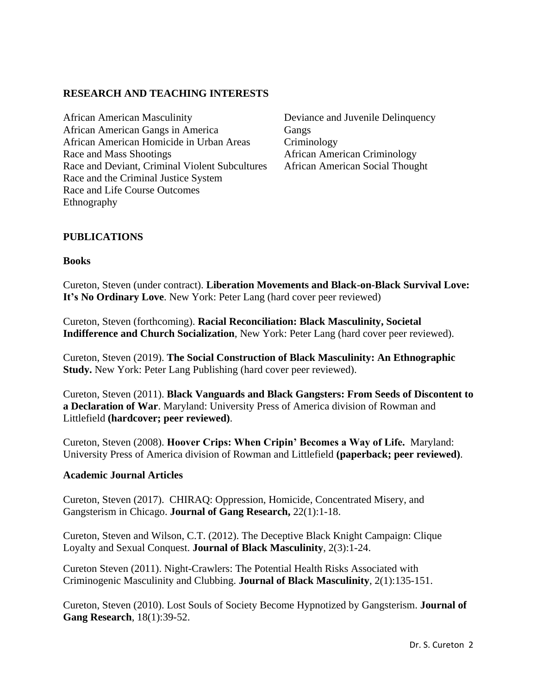## **RESEARCH AND TEACHING INTERESTS**

African American Masculinity Deviance and Juvenile Delinquency African American Gangs in America Gangs African American Homicide in Urban Areas Criminology Race and Mass Shootings **African American Criminology** Race and Deviant, Criminal Violent Subcultures African American Social Thought Race and the Criminal Justice System Race and Life Course Outcomes Ethnography

## **PUBLICATIONS**

### **Books**

Cureton, Steven (under contract). **Liberation Movements and Black-on-Black Survival Love: It's No Ordinary Love**. New York: Peter Lang (hard cover peer reviewed)

Cureton, Steven (forthcoming). **Racial Reconciliation: Black Masculinity, Societal Indifference and Church Socialization**, New York: Peter Lang (hard cover peer reviewed).

Cureton, Steven (2019). **The Social Construction of Black Masculinity: An Ethnographic Study.** New York: Peter Lang Publishing (hard cover peer reviewed).

Cureton, Steven (2011). **Black Vanguards and Black Gangsters: From Seeds of Discontent to a Declaration of War**. Maryland: University Press of America division of Rowman and Littlefield **(hardcover; peer reviewed)**.

Cureton, Steven (2008). **Hoover Crips: When Cripin' Becomes a Way of Life.** Maryland: University Press of America division of Rowman and Littlefield **(paperback; peer reviewed)**.

### **Academic Journal Articles**

Cureton, Steven (2017). CHIRAQ: Oppression, Homicide, Concentrated Misery, and Gangsterism in Chicago. **Journal of Gang Research,** 22(1):1-18.

Cureton, Steven and Wilson, C.T. (2012). The Deceptive Black Knight Campaign: Clique Loyalty and Sexual Conquest. **Journal of Black Masculinity**, 2(3):1-24.

Cureton Steven (2011). Night-Crawlers: The Potential Health Risks Associated with Criminogenic Masculinity and Clubbing. **Journal of Black Masculinity**, 2(1):135-151.

Cureton, Steven (2010). Lost Souls of Society Become Hypnotized by Gangsterism. **Journal of Gang Research**, 18(1):39-52.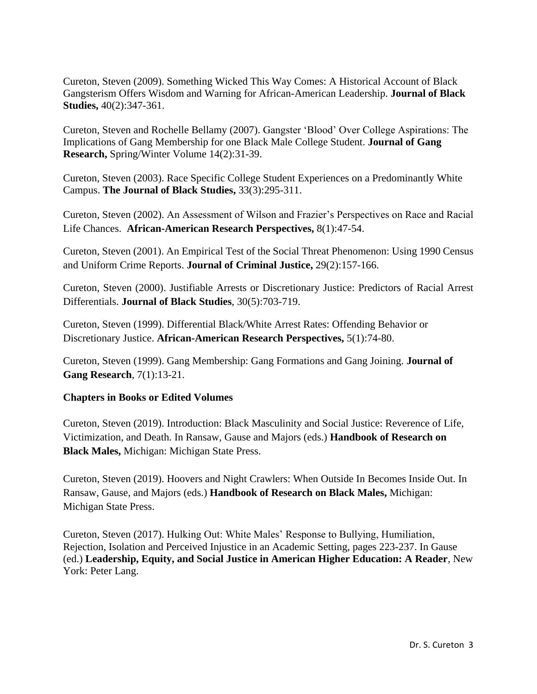Cureton, Steven (2009). Something Wicked This Way Comes: A Historical Account of Black Gangsterism Offers Wisdom and Warning for African-American Leadership. **Journal of Black Studies,** 40(2):347-361.

Cureton, Steven and Rochelle Bellamy (2007). Gangster 'Blood' Over College Aspirations: The Implications of Gang Membership for one Black Male College Student. **Journal of Gang Research,** Spring/Winter Volume 14(2):31-39.

Cureton, Steven (2003). Race Specific College Student Experiences on a Predominantly White Campus. **The Journal of Black Studies,** 33(3):295-311.

Cureton, Steven (2002). An Assessment of Wilson and Frazier's Perspectives on Race and Racial Life Chances. **African-American Research Perspectives,** 8(1):47-54.

Cureton, Steven (2001). An Empirical Test of the Social Threat Phenomenon: Using 1990 Census and Uniform Crime Reports. **Journal of Criminal Justice,** 29(2):157-166.

Cureton, Steven (2000). Justifiable Arrests or Discretionary Justice: Predictors of Racial Arrest Differentials. **Journal of Black Studies**, 30(5):703-719.

Cureton, Steven (1999). Differential Black/White Arrest Rates: Offending Behavior or Discretionary Justice. **African-American Research Perspectives,** 5(1):74-80.

Cureton, Steven (1999). Gang Membership: Gang Formations and Gang Joining. **Journal of Gang Research**, 7(1):13-21.

## **Chapters in Books or Edited Volumes**

Cureton, Steven (2019). Introduction: Black Masculinity and Social Justice: Reverence of Life, Victimization, and Death. In Ransaw, Gause and Majors (eds.) **Handbook of Research on Black Males,** Michigan: Michigan State Press.

Cureton, Steven (2019). Hoovers and Night Crawlers: When Outside In Becomes Inside Out. In Ransaw, Gause, and Majors (eds.) **Handbook of Research on Black Males,** Michigan: Michigan State Press.

Cureton, Steven (2017). Hulking Out: White Males' Response to Bullying, Humiliation, Rejection, Isolation and Perceived Injustice in an Academic Setting, pages 223-237. In Gause (ed.) **Leadership, Equity, and Social Justice in American Higher Education: A Reader**, New York: Peter Lang.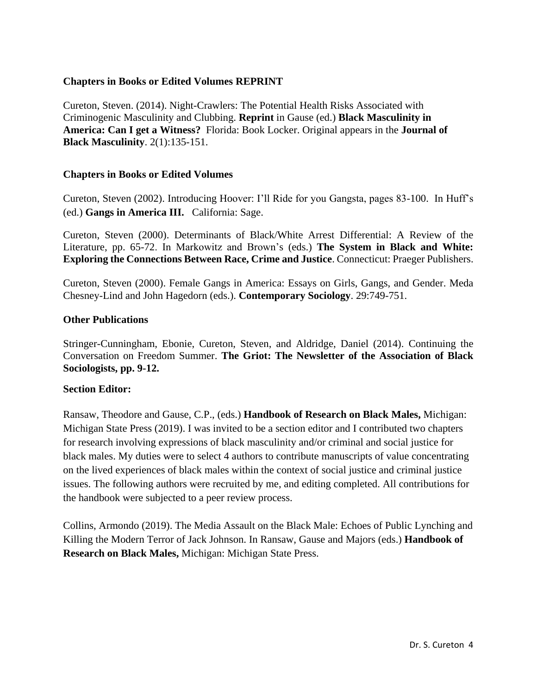### **Chapters in Books or Edited Volumes REPRINT**

Cureton, Steven. (2014). Night-Crawlers: The Potential Health Risks Associated with Criminogenic Masculinity and Clubbing. **Reprint** in Gause (ed.) **Black Masculinity in America: Can I get a Witness?** Florida: Book Locker. Original appears in the **Journal of Black Masculinity**. 2(1):135-151.

### **Chapters in Books or Edited Volumes**

Cureton, Steven (2002). Introducing Hoover: I'll Ride for you Gangsta, pages 83-100. In Huff's (ed.) **Gangs in America III.** California: Sage.

Cureton, Steven (2000). Determinants of Black/White Arrest Differential: A Review of the Literature, pp. 65-72. In Markowitz and Brown's (eds.) **The System in Black and White: Exploring the Connections Between Race, Crime and Justice**. Connecticut: Praeger Publishers.

Cureton, Steven (2000). Female Gangs in America: Essays on Girls, Gangs, and Gender. Meda Chesney-Lind and John Hagedorn (eds.). **Contemporary Sociology**. 29:749-751.

### **Other Publications**

Stringer-Cunningham, Ebonie, Cureton, Steven, and Aldridge, Daniel (2014). Continuing the Conversation on Freedom Summer. **The Griot: The Newsletter of the Association of Black Sociologists, pp. 9-12.**

### **Section Editor:**

Ransaw, Theodore and Gause, C.P., (eds.) **Handbook of Research on Black Males,** Michigan: Michigan State Press (2019). I was invited to be a section editor and I contributed two chapters for research involving expressions of black masculinity and/or criminal and social justice for black males. My duties were to select 4 authors to contribute manuscripts of value concentrating on the lived experiences of black males within the context of social justice and criminal justice issues. The following authors were recruited by me, and editing completed. All contributions for the handbook were subjected to a peer review process.

Collins, Armondo (2019). The Media Assault on the Black Male: Echoes of Public Lynching and Killing the Modern Terror of Jack Johnson. In Ransaw, Gause and Majors (eds.) **Handbook of Research on Black Males,** Michigan: Michigan State Press.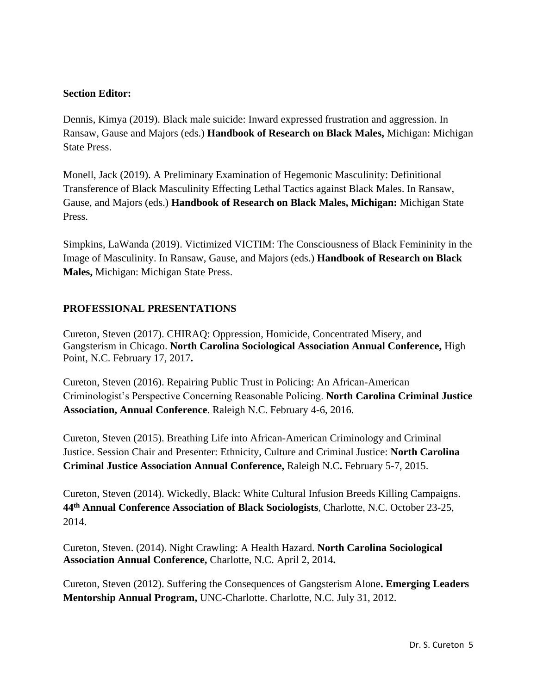### **Section Editor:**

Dennis, Kimya (2019). Black male suicide: Inward expressed frustration and aggression. In Ransaw, Gause and Majors (eds.) **Handbook of Research on Black Males,** Michigan: Michigan State Press.

Monell, Jack (2019). A Preliminary Examination of Hegemonic Masculinity: Definitional Transference of Black Masculinity Effecting Lethal Tactics against Black Males. In Ransaw, Gause, and Majors (eds.) **Handbook of Research on Black Males, Michigan:** Michigan State Press.

Simpkins, LaWanda (2019). Victimized VICTIM: The Consciousness of Black Femininity in the Image of Masculinity. In Ransaw, Gause, and Majors (eds.) **Handbook of Research on Black Males,** Michigan: Michigan State Press.

## **PROFESSIONAL PRESENTATIONS**

Cureton, Steven (2017). CHIRAQ: Oppression, Homicide, Concentrated Misery, and Gangsterism in Chicago. **North Carolina Sociological Association Annual Conference,** High Point, N.C. February 17, 2017**.**

Cureton, Steven (2016). Repairing Public Trust in Policing: An African-American Criminologist's Perspective Concerning Reasonable Policing. **North Carolina Criminal Justice Association, Annual Conference**. Raleigh N.C. February 4-6, 2016.

Cureton, Steven (2015). Breathing Life into African-American Criminology and Criminal Justice. Session Chair and Presenter: Ethnicity, Culture and Criminal Justice: **North Carolina Criminal Justice Association Annual Conference,** Raleigh N.C**.** February 5-7, 2015.

Cureton, Steven (2014). Wickedly, Black: White Cultural Infusion Breeds Killing Campaigns. **44th Annual Conference Association of Black Sociologists**, Charlotte, N.C. October 23-25, 2014.

Cureton, Steven. (2014). Night Crawling: A Health Hazard. **North Carolina Sociological Association Annual Conference,** Charlotte, N.C. April 2, 2014**.**

Cureton, Steven (2012). Suffering the Consequences of Gangsterism Alone**. Emerging Leaders Mentorship Annual Program,** UNC-Charlotte. Charlotte, N.C. July 31, 2012.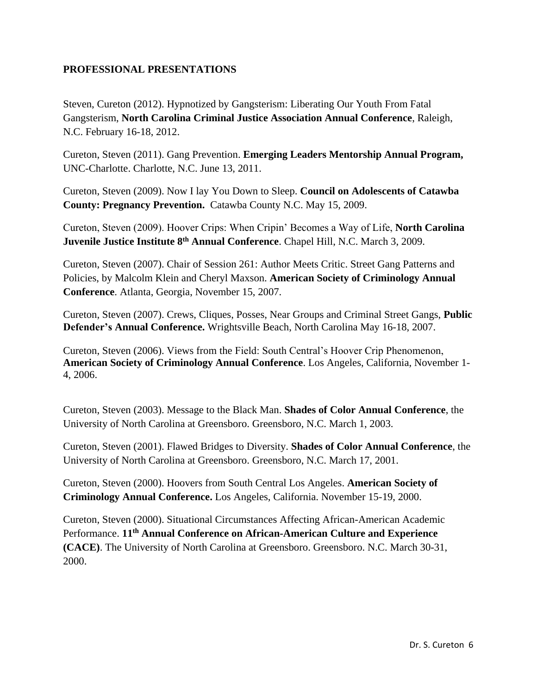## **PROFESSIONAL PRESENTATIONS**

Steven, Cureton (2012). Hypnotized by Gangsterism: Liberating Our Youth From Fatal Gangsterism, **North Carolina Criminal Justice Association Annual Conference**, Raleigh, N.C. February 16-18, 2012.

Cureton, Steven (2011). Gang Prevention. **Emerging Leaders Mentorship Annual Program,** UNC-Charlotte. Charlotte, N.C. June 13, 2011.

Cureton, Steven (2009). Now I lay You Down to Sleep. **Council on Adolescents of Catawba County: Pregnancy Prevention.** Catawba County N.C. May 15, 2009.

Cureton, Steven (2009). Hoover Crips: When Cripin' Becomes a Way of Life, **North Carolina Juvenile Justice Institute 8th Annual Conference**. Chapel Hill, N.C. March 3, 2009.

Cureton, Steven (2007). Chair of Session 261: Author Meets Critic. Street Gang Patterns and Policies, by Malcolm Klein and Cheryl Maxson. **American Society of Criminology Annual Conference**. Atlanta, Georgia, November 15, 2007.

Cureton, Steven (2007). Crews, Cliques, Posses, Near Groups and Criminal Street Gangs, **Public Defender's Annual Conference.** Wrightsville Beach, North Carolina May 16-18, 2007.

Cureton, Steven (2006). Views from the Field: South Central's Hoover Crip Phenomenon, **American Society of Criminology Annual Conference**. Los Angeles, California, November 1- 4, 2006.

Cureton, Steven (2003). Message to the Black Man. **Shades of Color Annual Conference**, the University of North Carolina at Greensboro. Greensboro, N.C. March 1, 2003.

Cureton, Steven (2001). Flawed Bridges to Diversity. **Shades of Color Annual Conference**, the University of North Carolina at Greensboro. Greensboro, N.C. March 17, 2001.

Cureton, Steven (2000). Hoovers from South Central Los Angeles. **American Society of Criminology Annual Conference.** Los Angeles, California. November 15-19, 2000.

Cureton, Steven (2000). Situational Circumstances Affecting African-American Academic Performance. **11th Annual Conference on African-American Culture and Experience (CACE)**. The University of North Carolina at Greensboro. Greensboro. N.C. March 30-31, 2000.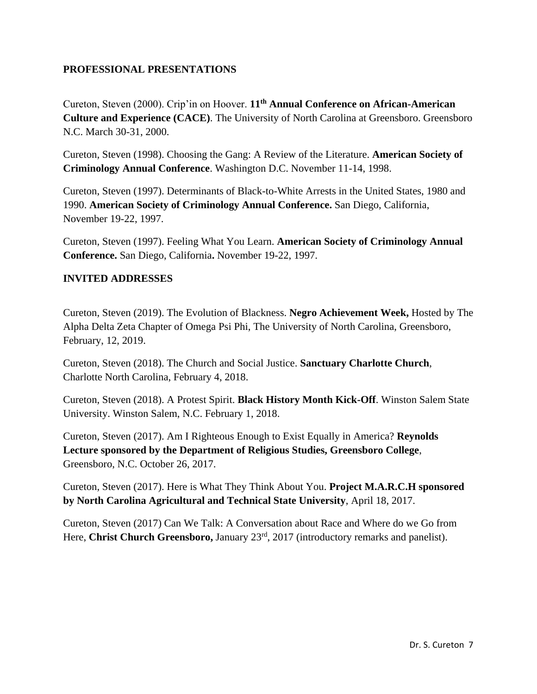## **PROFESSIONAL PRESENTATIONS**

Cureton, Steven (2000). Crip'in on Hoover. **11th Annual Conference on African-American Culture and Experience (CACE)**. The University of North Carolina at Greensboro. Greensboro N.C. March 30-31, 2000.

Cureton, Steven (1998). Choosing the Gang: A Review of the Literature. **American Society of Criminology Annual Conference**. Washington D.C. November 11-14, 1998.

Cureton, Steven (1997). Determinants of Black-to-White Arrests in the United States, 1980 and 1990. **American Society of Criminology Annual Conference.** San Diego, California, November 19-22, 1997.

Cureton, Steven (1997). Feeling What You Learn. **American Society of Criminology Annual Conference.** San Diego, California**.** November 19-22, 1997.

### **INVITED ADDRESSES**

Cureton, Steven (2019). The Evolution of Blackness. **Negro Achievement Week,** Hosted by The Alpha Delta Zeta Chapter of Omega Psi Phi, The University of North Carolina, Greensboro, February, 12, 2019.

Cureton, Steven (2018). The Church and Social Justice. **Sanctuary Charlotte Church**, Charlotte North Carolina, February 4, 2018.

Cureton, Steven (2018). A Protest Spirit. **Black History Month Kick-Off**. Winston Salem State University. Winston Salem, N.C. February 1, 2018.

Cureton, Steven (2017). Am I Righteous Enough to Exist Equally in America? **Reynolds Lecture sponsored by the Department of Religious Studies, Greensboro College**, Greensboro, N.C. October 26, 2017.

Cureton, Steven (2017). Here is What They Think About You. **Project M.A.R.C.H sponsored by North Carolina Agricultural and Technical State University**, April 18, 2017.

Cureton, Steven (2017) Can We Talk: A Conversation about Race and Where do we Go from Here, **Christ Church Greensboro,** January 23<sup>rd</sup>, 2017 (introductory remarks and panelist).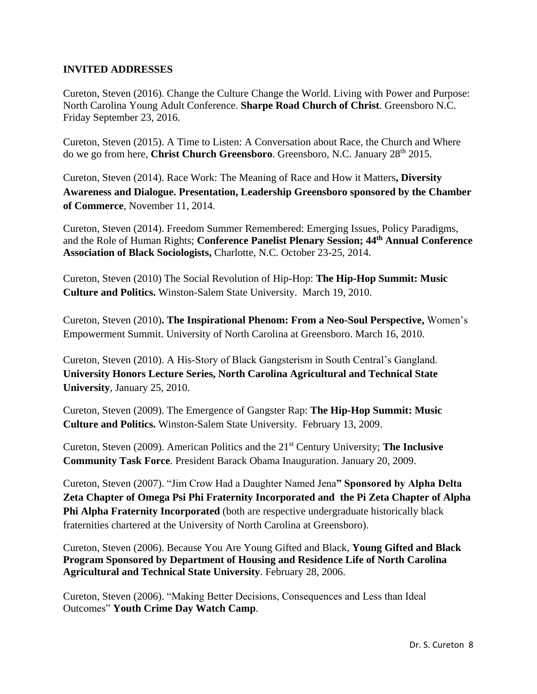### **INVITED ADDRESSES**

Cureton, Steven (2016). Change the Culture Change the World. Living with Power and Purpose: North Carolina Young Adult Conference. **Sharpe Road Church of Christ**. Greensboro N.C. Friday September 23, 2016.

Cureton, Steven (2015). A Time to Listen: A Conversation about Race, the Church and Where do we go from here, **Christ Church Greensboro**. Greensboro, N.C. January 28th 2015.

Cureton, Steven (2014). Race Work: The Meaning of Race and How it Matters**, Diversity Awareness and Dialogue. Presentation, Leadership Greensboro sponsored by the Chamber of Commerce**, November 11, 2014.

Cureton, Steven (2014). Freedom Summer Remembered: Emerging Issues, Policy Paradigms, and the Role of Human Rights; **Conference Panelist Plenary Session; 44th Annual Conference Association of Black Sociologists,** Charlotte, N.C. October 23-25, 2014.

Cureton, Steven (2010) The Social Revolution of Hip-Hop: **The Hip-Hop Summit: Music Culture and Politics.** Winston-Salem State University. March 19, 2010.

Cureton, Steven (2010)**. The Inspirational Phenom: From a Neo-Soul Perspective,** Women's Empowerment Summit. University of North Carolina at Greensboro. March 16, 2010.

Cureton, Steven (2010). A His-Story of Black Gangsterism in South Central's Gangland. **University Honors Lecture Series, North Carolina Agricultural and Technical State University**, January 25, 2010.

Cureton, Steven (2009). The Emergence of Gangster Rap: **The Hip-Hop Summit: Music Culture and Politics.** Winston-Salem State University. February 13, 2009.

Cureton, Steven (2009). American Politics and the 21st Century University; **The Inclusive Community Task Force**. President Barack Obama Inauguration. January 20, 2009.

Cureton, Steven (2007). "Jim Crow Had a Daughter Named Jena**" Sponsored by Alpha Delta Zeta Chapter of Omega Psi Phi Fraternity Incorporated and the Pi Zeta Chapter of Alpha Phi Alpha Fraternity Incorporated** (both are respective undergraduate historically black fraternities chartered at the University of North Carolina at Greensboro).

Cureton, Steven (2006). Because You Are Young Gifted and Black, **Young Gifted and Black Program Sponsored by Department of Housing and Residence Life of North Carolina Agricultural and Technical State University**. February 28, 2006.

Cureton, Steven (2006). "Making Better Decisions, Consequences and Less than Ideal Outcomes" **Youth Crime Day Watch Camp**.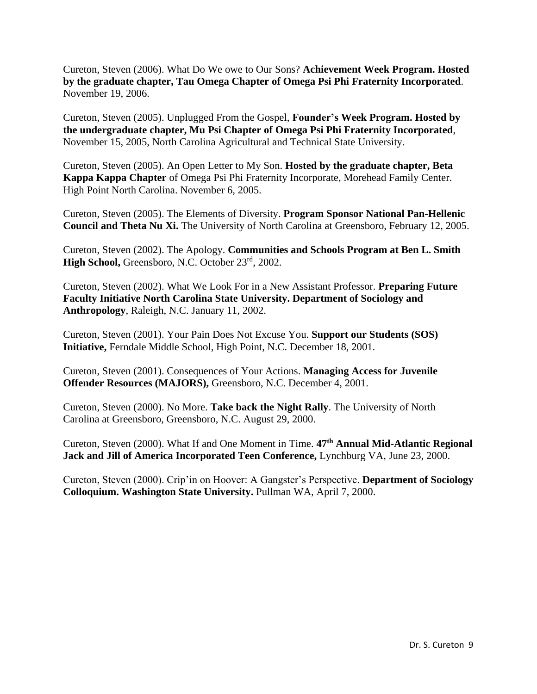Cureton, Steven (2006). What Do We owe to Our Sons? **Achievement Week Program. Hosted by the graduate chapter, Tau Omega Chapter of Omega Psi Phi Fraternity Incorporated**. November 19, 2006.

Cureton, Steven (2005). Unplugged From the Gospel, **Founder's Week Program. Hosted by the undergraduate chapter, Mu Psi Chapter of Omega Psi Phi Fraternity Incorporated**, November 15, 2005, North Carolina Agricultural and Technical State University.

Cureton, Steven (2005). An Open Letter to My Son. **Hosted by the graduate chapter, Beta Kappa Kappa Chapter** of Omega Psi Phi Fraternity Incorporate, Morehead Family Center. High Point North Carolina. November 6, 2005.

Cureton, Steven (2005). The Elements of Diversity. **Program Sponsor National Pan-Hellenic Council and Theta Nu Xi.** The University of North Carolina at Greensboro, February 12, 2005.

Cureton, Steven (2002). The Apology. **Communities and Schools Program at Ben L. Smith High School,** Greensboro, N.C. October 23rd, 2002.

Cureton, Steven (2002). What We Look For in a New Assistant Professor. **Preparing Future Faculty Initiative North Carolina State University. Department of Sociology and Anthropology**, Raleigh, N.C. January 11, 2002.

Cureton, Steven (2001). Your Pain Does Not Excuse You. **Support our Students (SOS) Initiative,** Ferndale Middle School, High Point, N.C. December 18, 2001.

Cureton, Steven (2001). Consequences of Your Actions. **Managing Access for Juvenile Offender Resources (MAJORS),** Greensboro, N.C. December 4, 2001.

Cureton, Steven (2000). No More. **Take back the Night Rally**. The University of North Carolina at Greensboro, Greensboro, N.C. August 29, 2000.

Cureton, Steven (2000). What If and One Moment in Time. **47th Annual Mid-Atlantic Regional Jack and Jill of America Incorporated Teen Conference,** Lynchburg VA, June 23, 2000.

Cureton, Steven (2000). Crip'in on Hoover: A Gangster's Perspective. **Department of Sociology Colloquium. Washington State University.** Pullman WA, April 7, 2000.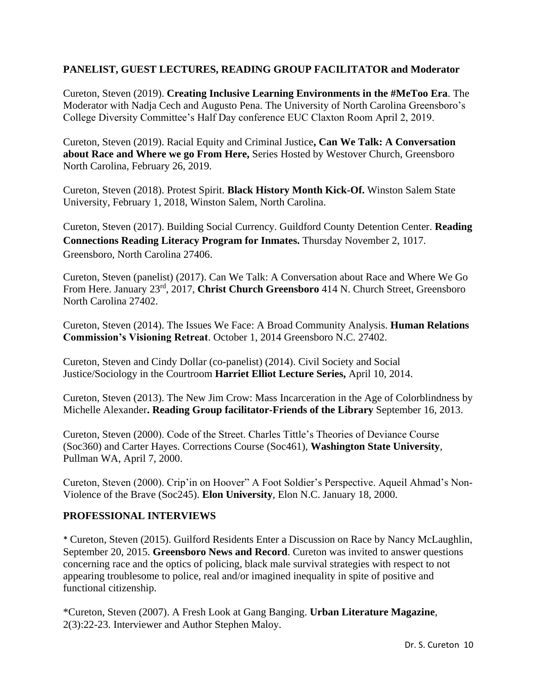### **PANELIST, GUEST LECTURES, READING GROUP FACILITATOR and Moderator**

Cureton, Steven (2019). **Creating Inclusive Learning Environments in the #MeToo Era**. The Moderator with Nadja Cech and Augusto Pena. The University of North Carolina Greensboro's College Diversity Committee's Half Day conference EUC Claxton Room April 2, 2019.

Cureton, Steven (2019). Racial Equity and Criminal Justice**, Can We Talk: A Conversation about Race and Where we go From Here,** Series Hosted by Westover Church, Greensboro North Carolina, February 26, 2019.

Cureton, Steven (2018). Protest Spirit. **Black History Month Kick-Of.** Winston Salem State University, February 1, 2018, Winston Salem, North Carolina.

Cureton, Steven (2017). Building Social Currency. Guildford County Detention Center. **Reading Connections Reading Literacy Program for Inmates.** Thursday November 2, 1017. Greensboro, North Carolina 27406.

Cureton, Steven (panelist) (2017). Can We Talk: A Conversation about Race and Where We Go From Here. January 23rd, 2017, **Christ Church Greensboro** 414 N. Church Street, Greensboro North Carolina 27402.

Cureton, Steven (2014). The Issues We Face: A Broad Community Analysis. **Human Relations Commission's Visioning Retreat**. October 1, 2014 Greensboro N.C. 27402.

Cureton, Steven and Cindy Dollar (co-panelist) (2014). Civil Society and Social Justice/Sociology in the Courtroom **Harriet Elliot Lecture Series,** April 10, 2014.

Cureton, Steven (2013). The New Jim Crow: Mass Incarceration in the Age of Colorblindness by Michelle Alexander**. Reading Group facilitator-Friends of the Library** September 16, 2013.

Cureton, Steven (2000). Code of the Street. Charles Tittle's Theories of Deviance Course (Soc360) and Carter Hayes. Corrections Course (Soc461), **Washington State University**, Pullman WA, April 7, 2000.

Cureton, Steven (2000). Crip'in on Hoover" A Foot Soldier's Perspective. Aqueil Ahmad's Non-Violence of the Brave (Soc245). **Elon University**, Elon N.C. January 18, 2000.

## **PROFESSIONAL INTERVIEWS**

\* Cureton, Steven (2015). Guilford Residents Enter a Discussion on Race by Nancy McLaughlin, September 20, 2015. **Greensboro News and Record**. Cureton was invited to answer questions concerning race and the optics of policing, black male survival strategies with respect to not appearing troublesome to police, real and/or imagined inequality in spite of positive and functional citizenship.

\*Cureton, Steven (2007). A Fresh Look at Gang Banging. **Urban Literature Magazine**, 2(3):22-23. Interviewer and Author Stephen Maloy.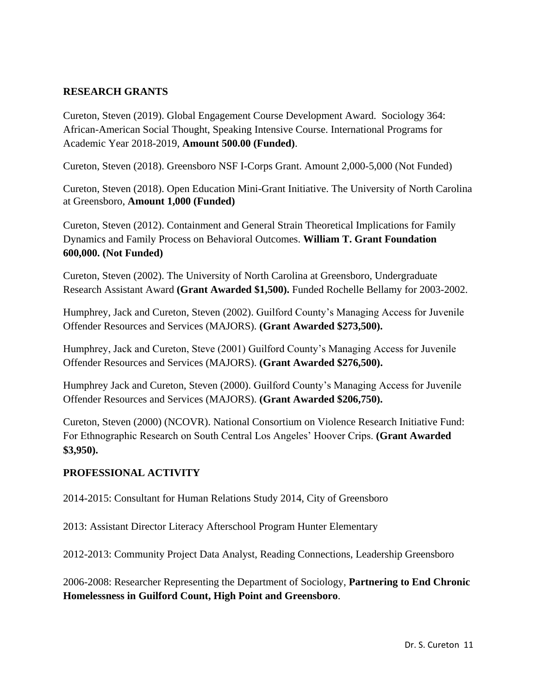### **RESEARCH GRANTS**

Cureton, Steven (2019). Global Engagement Course Development Award. Sociology 364: African-American Social Thought, Speaking Intensive Course. International Programs for Academic Year 2018-2019, **Amount 500.00 (Funded)**.

Cureton, Steven (2018). Greensboro NSF I-Corps Grant. Amount 2,000-5,000 (Not Funded)

Cureton, Steven (2018). Open Education Mini-Grant Initiative. The University of North Carolina at Greensboro, **Amount 1,000 (Funded)**

Cureton, Steven (2012). Containment and General Strain Theoretical Implications for Family Dynamics and Family Process on Behavioral Outcomes. **William T. Grant Foundation 600,000. (Not Funded)**

Cureton, Steven (2002). The University of North Carolina at Greensboro, Undergraduate Research Assistant Award **(Grant Awarded \$1,500).** Funded Rochelle Bellamy for 2003-2002.

Humphrey, Jack and Cureton, Steven (2002). Guilford County's Managing Access for Juvenile Offender Resources and Services (MAJORS). **(Grant Awarded \$273,500).**

Humphrey, Jack and Cureton, Steve (2001) Guilford County's Managing Access for Juvenile Offender Resources and Services (MAJORS). **(Grant Awarded \$276,500).**

Humphrey Jack and Cureton, Steven (2000). Guilford County's Managing Access for Juvenile Offender Resources and Services (MAJORS). **(Grant Awarded \$206,750).**

Cureton, Steven (2000) (NCOVR). National Consortium on Violence Research Initiative Fund: For Ethnographic Research on South Central Los Angeles' Hoover Crips. **(Grant Awarded \$3,950).**

## **PROFESSIONAL ACTIVITY**

2014-2015: Consultant for Human Relations Study 2014, City of Greensboro

2013: Assistant Director Literacy Afterschool Program Hunter Elementary

2012-2013: Community Project Data Analyst, Reading Connections, Leadership Greensboro

2006-2008: Researcher Representing the Department of Sociology, **Partnering to End Chronic Homelessness in Guilford Count, High Point and Greensboro**.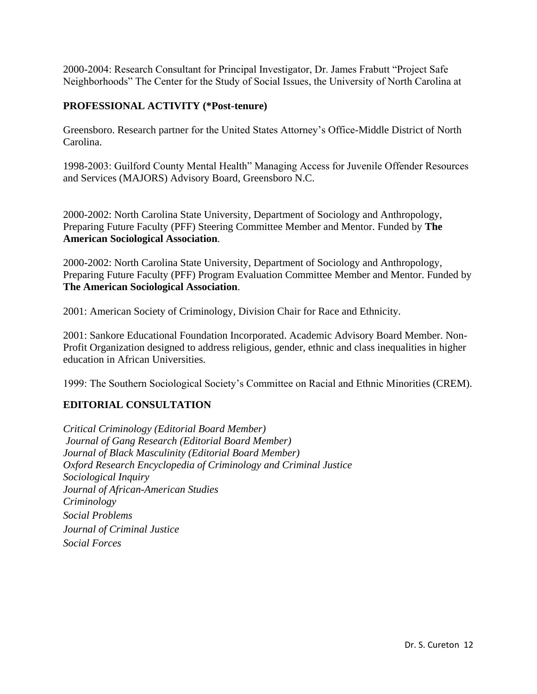2000-2004: Research Consultant for Principal Investigator, Dr. James Frabutt "Project Safe Neighborhoods" The Center for the Study of Social Issues, the University of North Carolina at

## **PROFESSIONAL ACTIVITY (\*Post-tenure)**

Greensboro. Research partner for the United States Attorney's Office-Middle District of North Carolina.

1998-2003: Guilford County Mental Health" Managing Access for Juvenile Offender Resources and Services (MAJORS) Advisory Board, Greensboro N.C.

2000-2002: North Carolina State University, Department of Sociology and Anthropology, Preparing Future Faculty (PFF) Steering Committee Member and Mentor. Funded by **The American Sociological Association**.

2000-2002: North Carolina State University, Department of Sociology and Anthropology, Preparing Future Faculty (PFF) Program Evaluation Committee Member and Mentor. Funded by **The American Sociological Association**.

2001: American Society of Criminology, Division Chair for Race and Ethnicity.

2001: Sankore Educational Foundation Incorporated. Academic Advisory Board Member. Non-Profit Organization designed to address religious, gender, ethnic and class inequalities in higher education in African Universities.

1999: The Southern Sociological Society's Committee on Racial and Ethnic Minorities (CREM).

# **EDITORIAL CONSULTATION**

*Critical Criminology (Editorial Board Member) Journal of Gang Research (Editorial Board Member) Journal of Black Masculinity (Editorial Board Member) Oxford Research Encyclopedia of Criminology and Criminal Justice Sociological Inquiry Journal of African-American Studies Criminology Social Problems Journal of Criminal Justice Social Forces*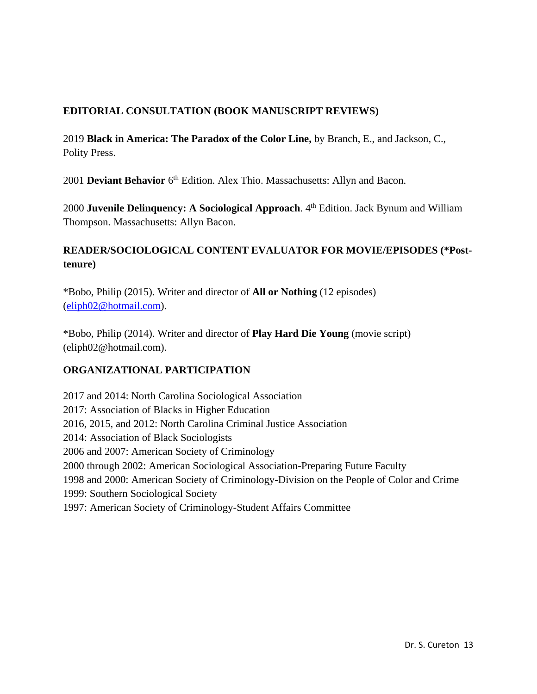## **EDITORIAL CONSULTATION (BOOK MANUSCRIPT REVIEWS)**

2019 **Black in America: The Paradox of the Color Line,** by Branch, E., and Jackson, C., Polity Press.

2001 Deviant Behavior 6<sup>th</sup> Edition. Alex Thio. Massachusetts: Allyn and Bacon.

2000 **Juvenile Delinquency: A Sociological Approach**. 4<sup>th</sup> Edition. Jack Bynum and William Thompson. Massachusetts: Allyn Bacon.

# **READER/SOCIOLOGICAL CONTENT EVALUATOR FOR MOVIE/EPISODES (\*Posttenure)**

\*Bobo, Philip (2015). Writer and director of **All or Nothing** (12 episodes) [\(eliph02@hotmail.com\)](mailto:eliph02@hotmail.com).

\*Bobo, Philip (2014). Writer and director of **Play Hard Die Young** (movie script) (eliph02@hotmail.com).

## **ORGANIZATIONAL PARTICIPATION**

2017 and 2014: North Carolina Sociological Association 2017: Association of Blacks in Higher Education 2016, 2015, and 2012: North Carolina Criminal Justice Association 2014: Association of Black Sociologists 2006 and 2007: American Society of Criminology 2000 through 2002: American Sociological Association-Preparing Future Faculty 1998 and 2000: American Society of Criminology-Division on the People of Color and Crime 1999: Southern Sociological Society 1997: American Society of Criminology-Student Affairs Committee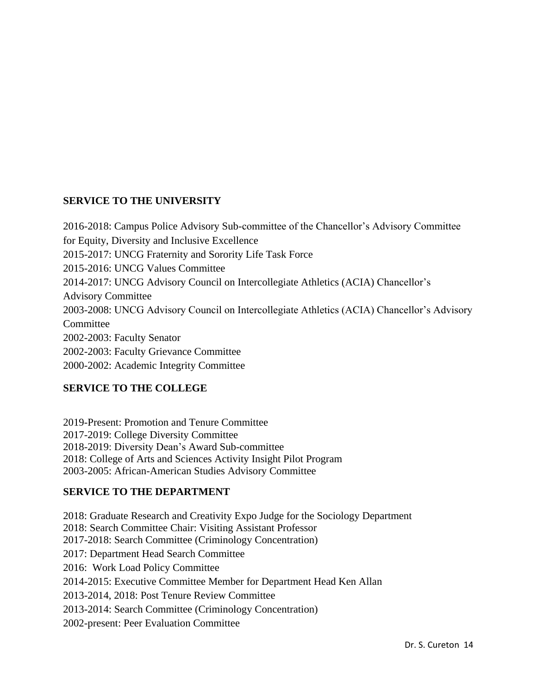## **SERVICE TO THE UNIVERSITY**

2016-2018: Campus Police Advisory Sub-committee of the Chancellor's Advisory Committee for Equity, Diversity and Inclusive Excellence 2015-2017: UNCG Fraternity and Sorority Life Task Force 2015-2016: UNCG Values Committee 2014-2017: UNCG Advisory Council on Intercollegiate Athletics (ACIA) Chancellor's Advisory Committee 2003-2008: UNCG Advisory Council on Intercollegiate Athletics (ACIA) Chancellor's Advisory **Committee** 2002-2003: Faculty Senator 2002-2003: Faculty Grievance Committee 2000-2002: Academic Integrity Committee

# **SERVICE TO THE COLLEGE**

2019-Present: Promotion and Tenure Committee 2017-2019: College Diversity Committee 2018-2019: Diversity Dean's Award Sub-committee 2018: College of Arts and Sciences Activity Insight Pilot Program 2003-2005: African-American Studies Advisory Committee

# **SERVICE TO THE DEPARTMENT**

2018: Graduate Research and Creativity Expo Judge for the Sociology Department 2018: Search Committee Chair: Visiting Assistant Professor 2017-2018: Search Committee (Criminology Concentration) 2017: Department Head Search Committee 2016: Work Load Policy Committee 2014-2015: Executive Committee Member for Department Head Ken Allan 2013-2014, 2018: Post Tenure Review Committee 2013-2014: Search Committee (Criminology Concentration) 2002-present: Peer Evaluation Committee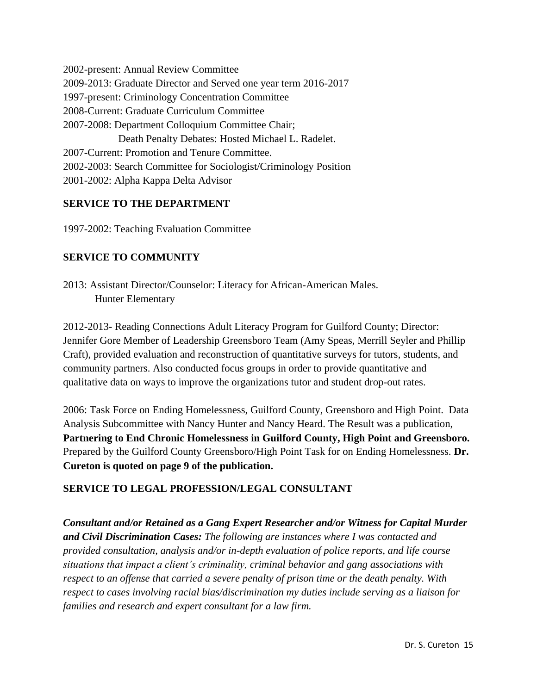2002-present: Annual Review Committee 2009-2013: Graduate Director and Served one year term 2016-2017 1997-present: Criminology Concentration Committee 2008-Current: Graduate Curriculum Committee 2007-2008: Department Colloquium Committee Chair; Death Penalty Debates: Hosted Michael L. Radelet. 2007-Current: Promotion and Tenure Committee. 2002-2003: Search Committee for Sociologist/Criminology Position 2001-2002: Alpha Kappa Delta Advisor

## **SERVICE TO THE DEPARTMENT**

1997-2002: Teaching Evaluation Committee

## **SERVICE TO COMMUNITY**

2013: Assistant Director/Counselor: Literacy for African-American Males. Hunter Elementary

2012-2013- Reading Connections Adult Literacy Program for Guilford County; Director: Jennifer Gore Member of Leadership Greensboro Team (Amy Speas, Merrill Seyler and Phillip Craft), provided evaluation and reconstruction of quantitative surveys for tutors, students, and community partners. Also conducted focus groups in order to provide quantitative and qualitative data on ways to improve the organizations tutor and student drop-out rates.

2006: Task Force on Ending Homelessness, Guilford County, Greensboro and High Point. Data Analysis Subcommittee with Nancy Hunter and Nancy Heard. The Result was a publication, **Partnering to End Chronic Homelessness in Guilford County, High Point and Greensboro.** Prepared by the Guilford County Greensboro/High Point Task for on Ending Homelessness. **Dr. Cureton is quoted on page 9 of the publication.**

## **SERVICE TO LEGAL PROFESSION/LEGAL CONSULTANT**

*Consultant and/or Retained as a Gang Expert Researcher and/or Witness for Capital Murder and Civil Discrimination Cases: The following are instances where I was contacted and provided consultation, analysis and/or in-depth evaluation of police reports, and life course situations that impact a client's criminality, criminal behavior and gang associations with respect to an offense that carried a severe penalty of prison time or the death penalty. With respect to cases involving racial bias/discrimination my duties include serving as a liaison for families and research and expert consultant for a law firm.*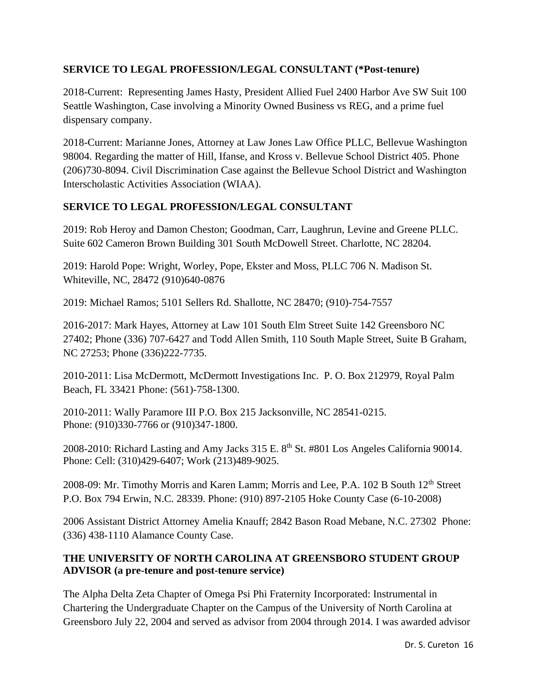## **SERVICE TO LEGAL PROFESSION/LEGAL CONSULTANT (\*Post-tenure)**

2018-Current: Representing James Hasty, President Allied Fuel 2400 Harbor Ave SW Suit 100 Seattle Washington, Case involving a Minority Owned Business vs REG, and a prime fuel dispensary company.

2018-Current: Marianne Jones, Attorney at Law Jones Law Office PLLC, Bellevue Washington 98004. Regarding the matter of Hill, Ifanse, and Kross v. Bellevue School District 405. Phone (206)730-8094. Civil Discrimination Case against the Bellevue School District and Washington Interscholastic Activities Association (WIAA).

## **SERVICE TO LEGAL PROFESSION/LEGAL CONSULTANT**

2019: Rob Heroy and Damon Cheston; Goodman, Carr, Laughrun, Levine and Greene PLLC. Suite 602 Cameron Brown Building 301 South McDowell Street. Charlotte, NC 28204.

2019: Harold Pope: Wright, Worley, Pope, Ekster and Moss, PLLC 706 N. Madison St. Whiteville, NC, 28472 (910)640-0876

2019: Michael Ramos; 5101 Sellers Rd. Shallotte, NC 28470; (910)-754-7557

2016-2017: Mark Hayes, Attorney at Law 101 South Elm Street Suite 142 Greensboro NC 27402; Phone (336) 707-6427 and Todd Allen Smith, 110 South Maple Street, Suite B Graham, NC 27253; Phone (336)222-7735.

2010-2011: Lisa McDermott, McDermott Investigations Inc. P. O. Box 212979, Royal Palm Beach, FL 33421 Phone: (561)-758-1300.

2010-2011: Wally Paramore III P.O. Box 215 Jacksonville, NC 28541-0215. Phone: (910)330-7766 or (910)347-1800.

2008-2010: Richard Lasting and Amy Jacks 315 E. 8<sup>th</sup> St. #801 Los Angeles California 90014. Phone: Cell: (310)429-6407; Work (213)489-9025.

2008-09: Mr. Timothy Morris and Karen Lamm; Morris and Lee, P.A. 102 B South 12<sup>th</sup> Street P.O. Box 794 Erwin, N.C. 28339. Phone: (910) 897-2105 Hoke County Case (6-10-2008)

2006 Assistant District Attorney Amelia Knauff; 2842 Bason Road Mebane, N.C. 27302 Phone: (336) 438-1110 Alamance County Case.

## **THE UNIVERSITY OF NORTH CAROLINA AT GREENSBORO STUDENT GROUP ADVISOR (a pre-tenure and post-tenure service)**

The Alpha Delta Zeta Chapter of Omega Psi Phi Fraternity Incorporated: Instrumental in Chartering the Undergraduate Chapter on the Campus of the University of North Carolina at Greensboro July 22, 2004 and served as advisor from 2004 through 2014. I was awarded advisor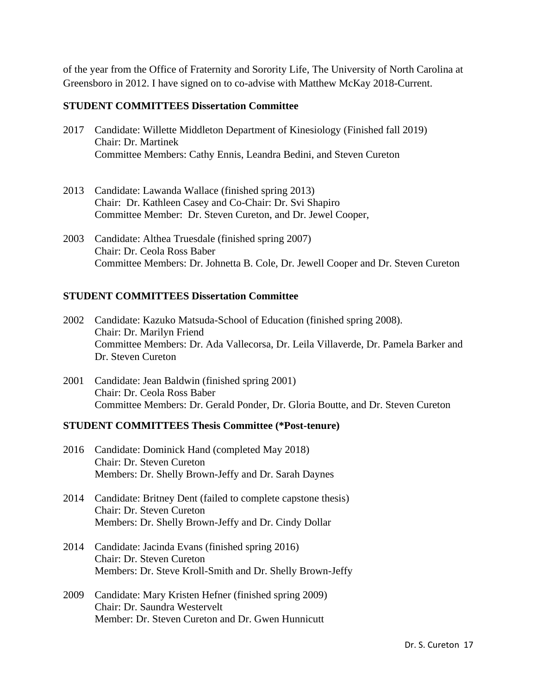of the year from the Office of Fraternity and Sorority Life, The University of North Carolina at Greensboro in 2012. I have signed on to co-advise with Matthew McKay 2018-Current.

#### **STUDENT COMMITTEES Dissertation Committee**

- 2017 Candidate: Willette Middleton Department of Kinesiology (Finished fall 2019) Chair: Dr. Martinek Committee Members: Cathy Ennis, Leandra Bedini, and Steven Cureton
- 2013 Candidate: Lawanda Wallace (finished spring 2013) Chair: Dr. Kathleen Casey and Co-Chair: Dr. Svi Shapiro Committee Member: Dr. Steven Cureton, and Dr. Jewel Cooper,
- 2003 Candidate: Althea Truesdale (finished spring 2007) Chair: Dr. Ceola Ross Baber Committee Members: Dr. Johnetta B. Cole, Dr. Jewell Cooper and Dr. Steven Cureton

#### **STUDENT COMMITTEES Dissertation Committee**

- 2002 Candidate: Kazuko Matsuda-School of Education (finished spring 2008). Chair: Dr. Marilyn Friend Committee Members: Dr. Ada Vallecorsa, Dr. Leila Villaverde, Dr. Pamela Barker and Dr. Steven Cureton
- 2001 Candidate: Jean Baldwin (finished spring 2001) Chair: Dr. Ceola Ross Baber Committee Members: Dr. Gerald Ponder, Dr. Gloria Boutte, and Dr. Steven Cureton

#### **STUDENT COMMITTEES Thesis Committee (\*Post-tenure)**

- 2016 Candidate: Dominick Hand (completed May 2018) Chair: Dr. Steven Cureton Members: Dr. Shelly Brown-Jeffy and Dr. Sarah Daynes
- 2014 Candidate: Britney Dent (failed to complete capstone thesis) Chair: Dr. Steven Cureton Members: Dr. Shelly Brown-Jeffy and Dr. Cindy Dollar
- 2014 Candidate: Jacinda Evans (finished spring 2016) Chair: Dr. Steven Cureton Members: Dr. Steve Kroll-Smith and Dr. Shelly Brown-Jeffy
- 2009 Candidate: Mary Kristen Hefner (finished spring 2009) Chair: Dr. Saundra Westervelt Member: Dr. Steven Cureton and Dr. Gwen Hunnicutt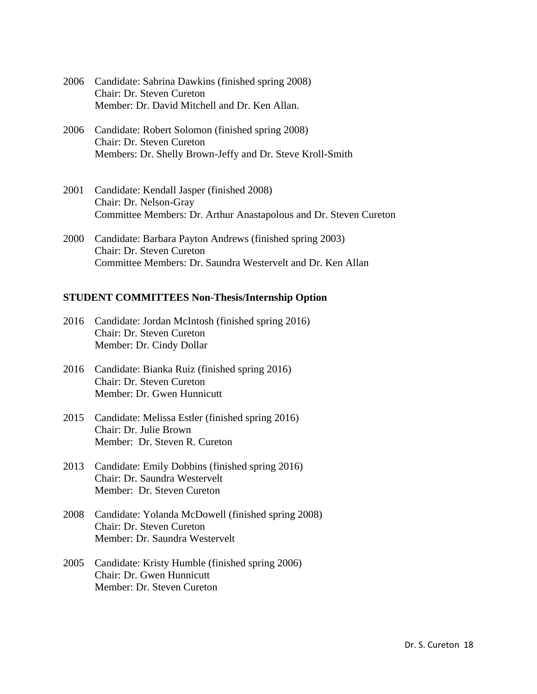| 2006 Candidate: Sabrina Dawkins (finished spring 2008) |
|--------------------------------------------------------|
| Chair: Dr. Steven Cureton                              |
| Member: Dr. David Mitchell and Dr. Ken Allan.          |

- 2006 Candidate: Robert Solomon (finished spring 2008) Chair: Dr. Steven Cureton Members: Dr. Shelly Brown-Jeffy and Dr. Steve Kroll-Smith
- 2001 Candidate: Kendall Jasper (finished 2008) Chair: Dr. Nelson-Gray Committee Members: Dr. Arthur Anastapolous and Dr. Steven Cureton
- 2000 Candidate: Barbara Payton Andrews (finished spring 2003) Chair: Dr. Steven Cureton Committee Members: Dr. Saundra Westervelt and Dr. Ken Allan

#### **STUDENT COMMITTEES Non-Thesis/Internship Option**

- 2016 Candidate: Jordan McIntosh (finished spring 2016) Chair: Dr. Steven Cureton Member: Dr. Cindy Dollar
- 2016 Candidate: Bianka Ruiz (finished spring 2016) Chair: Dr. Steven Cureton Member: Dr. Gwen Hunnicutt
- 2015 Candidate: Melissa Estler (finished spring 2016) Chair: Dr. Julie Brown Member: Dr. Steven R. Cureton
- 2013 Candidate: Emily Dobbins (finished spring 2016) Chair: Dr. Saundra Westervelt Member: Dr. Steven Cureton
- 2008 Candidate: Yolanda McDowell (finished spring 2008) Chair: Dr. Steven Cureton Member: Dr. Saundra Westervelt
- 2005 Candidate: Kristy Humble (finished spring 2006) Chair: Dr. Gwen Hunnicutt Member: Dr. Steven Cureton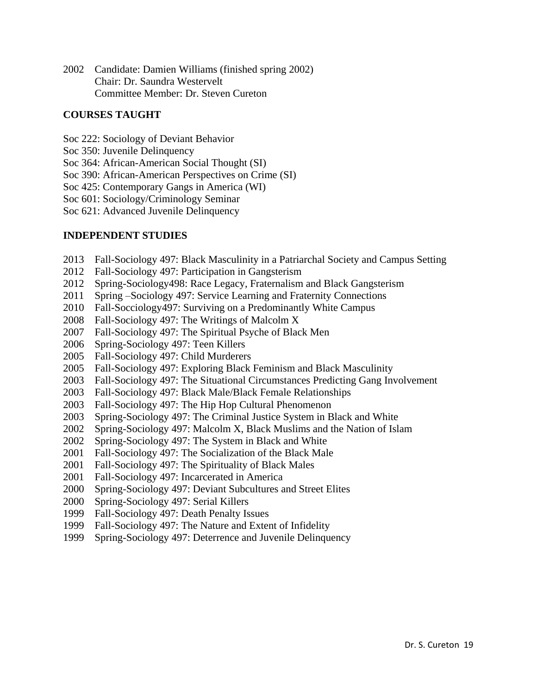Candidate: Damien Williams (finished spring 2002) Chair: Dr. Saundra Westervelt Committee Member: Dr. Steven Cureton

### **COURSES TAUGHT**

- Soc 222: Sociology of Deviant Behavior
- Soc 350: Juvenile Delinquency
- Soc 364: African-American Social Thought (SI)
- Soc 390: African-American Perspectives on Crime (SI)
- Soc 425: Contemporary Gangs in America (WI)

Soc 601: Sociology/Criminology Seminar

Soc 621: Advanced Juvenile Delinquency

### **INDEPENDENT STUDIES**

- Fall-Sociology 497: Black Masculinity in a Patriarchal Society and Campus Setting
- Fall-Sociology 497: Participation in Gangsterism
- Spring-Sociology498: Race Legacy, Fraternalism and Black Gangsterism
- 2011 Spring –Sociology 497: Service Learning and Fraternity Connections
- Fall-Socciology497: Surviving on a Predominantly White Campus
- Fall-Sociology 497: The Writings of Malcolm X
- Fall-Sociology 497: The Spiritual Psyche of Black Men
- Spring-Sociology 497: Teen Killers
- Fall-Sociology 497: Child Murderers
- Fall-Sociology 497: Exploring Black Feminism and Black Masculinity
- Fall-Sociology 497: The Situational Circumstances Predicting Gang Involvement
- Fall-Sociology 497: Black Male/Black Female Relationships
- Fall-Sociology 497: The Hip Hop Cultural Phenomenon
- Spring-Sociology 497: The Criminal Justice System in Black and White
- Spring-Sociology 497: Malcolm X, Black Muslims and the Nation of Islam
- Spring-Sociology 497: The System in Black and White
- Fall-Sociology 497: The Socialization of the Black Male
- Fall-Sociology 497: The Spirituality of Black Males
- Fall-Sociology 497: Incarcerated in America
- Spring-Sociology 497: Deviant Subcultures and Street Elites
- Spring-Sociology 497: Serial Killers
- Fall-Sociology 497: Death Penalty Issues
- Fall-Sociology 497: The Nature and Extent of Infidelity
- Spring-Sociology 497: Deterrence and Juvenile Delinquency